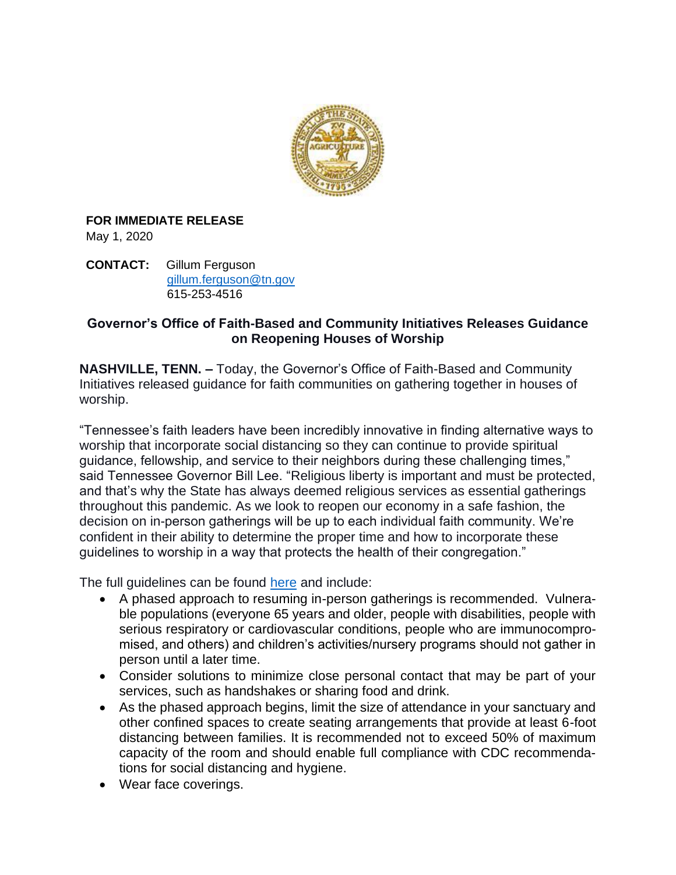

## **FOR IMMEDIATE RELEASE**

May 1, 2020

**CONTACT:** Gillum Ferguson [gillum.ferguson@tn.gov](mailto:gillum.ferguson@tn.gov) 615-253-4516

## **Governor's Office of Faith-Based and Community Initiatives Releases Guidance on Reopening Houses of Worship**

**NASHVILLE, TENN. –** Today, the Governor's Office of Faith-Based and Community Initiatives released guidance for faith communities on gathering together in houses of worship.

"Tennessee's faith leaders have been incredibly innovative in finding alternative ways to worship that incorporate social distancing so they can continue to provide spiritual guidance, fellowship, and service to their neighbors during these challenging times," said Tennessee Governor Bill Lee. "Religious liberty is important and must be protected, and that's why the State has always deemed religious services as essential gatherings throughout this pandemic. As we look to reopen our economy in a safe fashion, the decision on in-person gatherings will be up to each individual faith community. We're confident in their ability to determine the proper time and how to incorporate these guidelines to worship in a way that protects the health of their congregation."

The full guidelines can be found [here](https://www.tn.gov/content/dam/tn/governorsoffice-documents/House%20of%20Worship%20Guidance%20FBCI.pdf) and include:

- A phased approach to resuming in-person gatherings is recommended. Vulnerable populations (everyone 65 years and older, people with disabilities, people with serious respiratory or cardiovascular conditions, people who are immunocompromised, and others) and children's activities/nursery programs should not gather in person until a later time.
- Consider solutions to minimize close personal contact that may be part of your services, such as handshakes or sharing food and drink.
- As the phased approach begins, limit the size of attendance in your sanctuary and other confined spaces to create seating arrangements that provide at least 6-foot distancing between families. It is recommended not to exceed 50% of maximum capacity of the room and should enable full compliance with CDC recommendations for social distancing and hygiene.
- Wear face coverings.